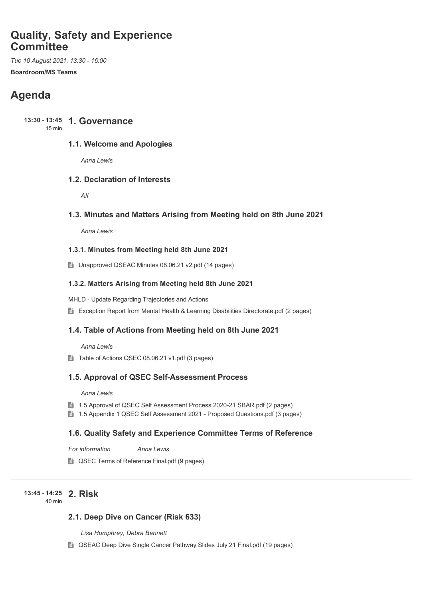# **Quality, Safety and Experience Committee**

*Tue 10 August 2021, 13:30 - 16:00* **Boardroom/MS Teams**

# **Agenda**

**13:30 - 13:45 1. Governance** 15 min

## **1.1. Welcome and Apologies**

*Anna Lewis*

# **1.2. Declaration of Interests**

*All*

## **1.3. Minutes and Matters Arising from Meeting held on 8th June 2021**

*Anna Lewis*

#### **1.3.1. Minutes from Meeting held 8th June 2021**

■ Unapproved QSEAC Minutes 08.06.21 v2.pdf (14 pages)

#### **1.3.2. Matters Arising from Meeting held 8th June 2021**

MHLD - Update Regarding Trajectories and Actions

**Exception Report from Mental Health & Learning Disabilities Directorate.pdf (2 pages)** 

# **1.4. Table of Actions from Meeting held on 8th June 2021**

*Anna Lewis*

Table of Actions QSEC 08.06.21 v1.pdf (3 pages)

#### **1.5. Approval of QSEC Self-Assessment Process**

*Anna Lewis*

- **1.5 Approval of QSEC Self Assessment Process 2020-21 SBAR.pdf (2 pages)**
- 1.5 Appendix 1 QSEC Self Assessment 2021 Proposed Questions.pdf (3 pages)

### **1.6. Quality Safety and Experience Committee Terms of Reference**

*For information Anna Lewis*

**QSEC Terms of Reference Final.pdf (9 pages)** 

#### **2. Risk 13:45** - **14:25** 40 min

# **2.1. Deep Dive on Cancer (Risk 633)**

*Lisa Humphrey, Debra Bennett*

■ QSEAC Deep Dive Single Cancer Pathway Slides July 21 Final.pdf (19 pages)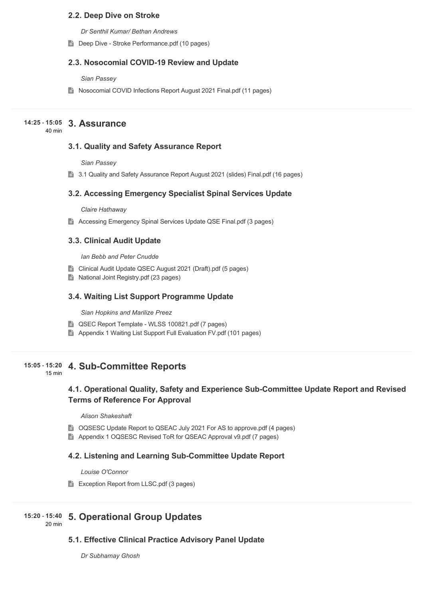### **2.2. Deep Dive on Stroke**

*Dr Senthil Kumar/ Bethan Andrews*

Deep Dive - Stroke Performance.pdf (10 pages)

#### **2.3. Nosocomial COVID-19 Review and Update**

#### *Sian Passey*

■ Nosocomial COVID Infections Report August 2021 Final.pdf (11 pages)

# **3. Assurance 14:25** - **15:05**

 $40 \text{ min}$ 

# **3.1. Quality and Safety Assurance Report**

*Sian Passey*

■ 3.1 Quality and Safety Assurance Report August 2021 (slides) Final.pdf (16 pages)

#### **3.2. Accessing Emergency Specialist Spinal Services Update**

*Claire Hathaway*

Accessing Emergency Spinal Services Update QSE Final.pdf (3 pages)

### **3.3. Clinical Audit Update**

*Ian Bebb and Peter Cnudde*

- **E** Clinical Audit Update QSEC August 2021 (Draft).pdf (5 pages)
- National Joint Registry.pdf (23 pages)

### **3.4. Waiting List Support Programme Update**

*Sian Hopkins and Marilize Preez*

- QSEC Report Template WLSS 100821.pdf (7 pages)
- **E** Appendix 1 Waiting List Support Full Evaluation FV.pdf (101 pages)

#### **4. Sub-Committee Reports 15:05** - **15:20**

15 min

# **4.1. Operational Quality, Safety and Experience Sub-Committee Update Report and Revised Terms of Reference For Approval**

#### *Alison Shakeshaft*

- OQSESC Update Report to QSEAC July 2021 For AS to approve.pdf (4 pages)
- Appendix 1 OQSESC Revised ToR for QSEAC Approval v9.pdf (7 pages)

# **4.2. Listening and Learning Sub-Committee Update Report**

#### *Louise O'Connor*

Exception Report from LLSC.pdf (3 pages)

#### **5. Operational Group Updates 15:20** - **15:40**

20 min

**5.1. Effective Clinical Practice Advisory Panel Update**

*Dr Subhamay Ghosh*